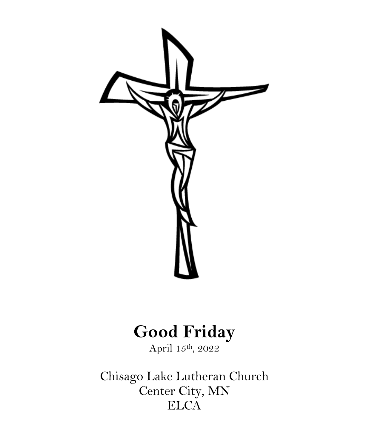

# **Good Friday**

April 15th, 2022

Chisago Lake Lutheran Church Center City, MN **ELCA**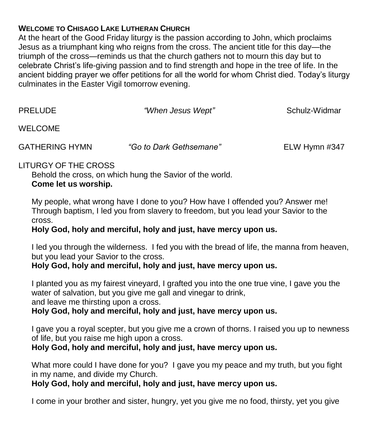### **WELCOME TO CHISAGO LAKE LUTHERAN CHURCH**

At the heart of the Good Friday liturgy is the passion according to John, which proclaims Jesus as a triumphant king who reigns from the cross. The ancient title for this day—the triumph of the cross—reminds us that the church gathers not to mourn this day but to celebrate Christ's life-giving passion and to find strength and hope in the tree of life. In the ancient bidding prayer we offer petitions for all the world for whom Christ died. Today's liturgy culminates in the Easter Vigil tomorrow evening.

| <b>PRELUDE</b> | "When Jesus Wept" | Schulz-Widmar |
|----------------|-------------------|---------------|
| <b>WELCOME</b> |                   |               |

GATHERING HYMN *"Go to Dark Gethsemane"* ELW Hymn #347

## LITURGY OF THE CROSS

Behold the cross, on which hung the Savior of the world. **Come let us worship.**

My people, what wrong have I done to you? How have I offended you? Answer me! Through baptism, I led you from slavery to freedom, but you lead your Savior to the cross.

#### **Holy God, holy and merciful, holy and just, have mercy upon us.**

I led you through the wilderness. I fed you with the bread of life, the manna from heaven, but you lead your Savior to the cross.

#### **Holy God, holy and merciful, holy and just, have mercy upon us.**

I planted you as my fairest vineyard, I grafted you into the one true vine, I gave you the water of salvation, but you give me gall and vinegar to drink, and leave me thirsting upon a cross.

#### **Holy God, holy and merciful, holy and just, have mercy upon us.**

I gave you a royal scepter, but you give me a crown of thorns. I raised you up to newness of life, but you raise me high upon a cross.

**Holy God, holy and merciful, holy and just, have mercy upon us.**

What more could I have done for you? I gave you my peace and my truth, but you fight in my name, and divide my Church.

#### **Holy God, holy and merciful, holy and just, have mercy upon us.**

I come in your brother and sister, hungry, yet you give me no food, thirsty, yet you give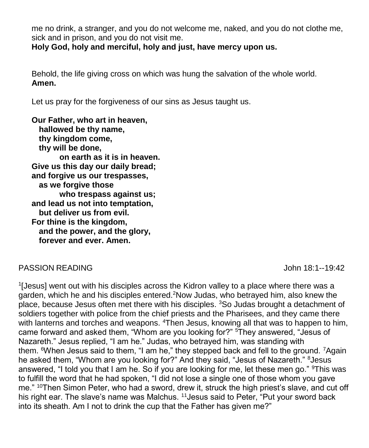me no drink, a stranger, and you do not welcome me, naked, and you do not clothe me, sick and in prison, and you do not visit me.

**Holy God, holy and merciful, holy and just, have mercy upon us.**

Behold, the life giving cross on which was hung the salvation of the whole world. **Amen.**

Let us pray for the forgiveness of our sins as Jesus taught us.

**Our Father, who art in heaven, hallowed be thy name, thy kingdom come, thy will be done, on earth as it is in heaven. Give us this day our daily bread; and forgive us our trespasses, as we forgive those who trespass against us; and lead us not into temptation, but deliver us from evil. For thine is the kingdom, and the power, and the glory, forever and ever. Amen.**

#### PASSION READING John 18:1--19:42

<sup>1</sup>[Jesus] went out with his disciples across the Kidron valley to a place where there was a garden, which he and his disciples entered.<sup>2</sup>Now Judas, who betrayed him, also knew the place, because Jesus often met there with his disciples. <sup>3</sup>So Judas brought a detachment of soldiers together with police from the chief priests and the Pharisees, and they came there with lanterns and torches and weapons. <sup>4</sup>Then Jesus, knowing all that was to happen to him, came forward and asked them, "Whom are you looking for?" <sup>5</sup>They answered, "Jesus of Nazareth." Jesus replied, "I am he." Judas, who betrayed him, was standing with them. <sup>6</sup>When Jesus said to them, "I am he," they stepped back and fell to the ground. <sup>7</sup>Again he asked them, "Whom are you looking for?" And they said, "Jesus of Nazareth." <sup>8</sup>Jesus answered, "I told you that I am he. So if you are looking for me, let these men go." <sup>9</sup>This was to fulfill the word that he had spoken, "I did not lose a single one of those whom you gave me." <sup>10</sup>Then Simon Peter, who had a sword, drew it, struck the high priest's slave, and cut off his right ear. The slave's name was Malchus. <sup>11</sup> Jesus said to Peter, "Put your sword back into its sheath. Am I not to drink the cup that the Father has given me?"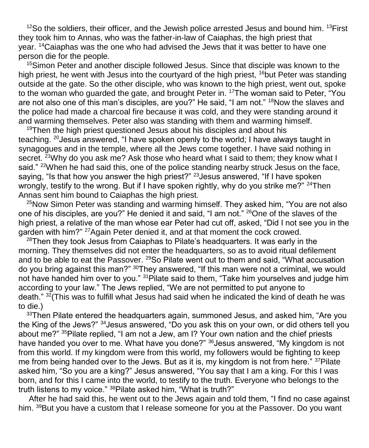$12$ So the soldiers, their officer, and the Jewish police arrested Jesus and bound him.  $13$  First they took him to Annas, who was the father-in-law of Caiaphas, the high priest that year. <sup>14</sup>Caiaphas was the one who had advised the Jews that it was better to have one person die for the people.

<sup>15</sup>Simon Peter and another disciple followed Jesus. Since that disciple was known to the high priest, he went with Jesus into the courtyard of the high priest, <sup>16</sup>but Peter was standing outside at the gate. So the other disciple, who was known to the high priest, went out, spoke to the woman who guarded the gate, and brought Peter in.<sup>17</sup>The woman said to Peter, "You are not also one of this man's disciples, are you?" He said, "I am not." <sup>18</sup>Now the slaves and the police had made a charcoal fire because it was cold, and they were standing around it and warming themselves. Peter also was standing with them and warming himself.

 $19$ Then the high priest questioned Jesus about his disciples and about his teaching. <sup>20</sup>Jesus answered, "I have spoken openly to the world; I have always taught in synagogues and in the temple, where all the Jews come together. I have said nothing in secret. <sup>21</sup>Why do you ask me? Ask those who heard what I said to them; they know what I said." <sup>22</sup>When he had said this, one of the police standing nearby struck Jesus on the face, saying, "Is that how you answer the high priest?"  $^{23}$ Jesus answered, "If I have spoken wrongly, testify to the wrong. But if I have spoken rightly, why do you strike me?" <sup>24</sup>Then Annas sent him bound to Caiaphas the high priest.

<sup>25</sup>Now Simon Peter was standing and warming himself. They asked him, "You are not also one of his disciples, are you?" He denied it and said, "I am not." <sup>26</sup>One of the slaves of the high priest, a relative of the man whose ear Peter had cut off, asked, "Did I not see you in the garden with him?" <sup>27</sup> Again Peter denied it, and at that moment the cock crowed.

 $28$ Then they took Jesus from Caiaphas to Pilate's headquarters. It was early in the morning. They themselves did not enter the headquarters, so as to avoid ritual defilement and to be able to eat the Passover. <sup>29</sup>So Pilate went out to them and said, "What accusation do you bring against this man?" <sup>30</sup>They answered, "If this man were not a criminal, we would not have handed him over to you." <sup>31</sup>Pilate said to them, "Take him yourselves and judge him according to your law." The Jews replied, "We are not permitted to put anyone to death." <sup>32</sup>(This was to fulfill what Jesus had said when he indicated the kind of death he was to die.)

 $33$ Then Pilate entered the headquarters again, summoned Jesus, and asked him, "Are you the King of the Jews?" <sup>34</sup>Jesus answered, "Do you ask this on your own, or did others tell you about me?" <sup>35</sup>Pilate replied, "I am not a Jew, am I? Your own nation and the chief priests have handed you over to me. What have you done?" <sup>36</sup> Jesus answered, "My kingdom is not from this world. If my kingdom were from this world, my followers would be fighting to keep me from being handed over to the Jews. But as it is, my kingdom is not from here." 37Pilate asked him, "So you are a king?" Jesus answered, "You say that I am a king. For this I was born, and for this I came into the world, to testify to the truth. Everyone who belongs to the truth listens to my voice." <sup>38</sup>Pilate asked him, "What is truth?"

After he had said this, he went out to the Jews again and told them, "I find no case against him. <sup>39</sup>But you have a custom that I release someone for you at the Passover. Do you want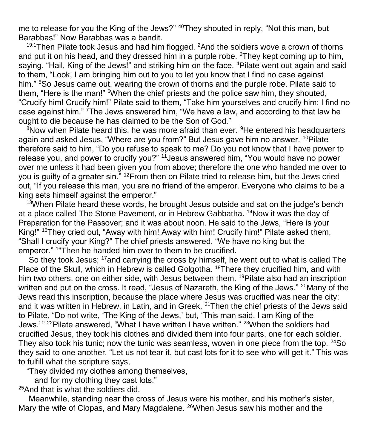me to release for you the King of the Jews?" <sup>40</sup>They shouted in reply, "Not this man, but Barabbas!" Now Barabbas was a bandit.

 $19:1$ Then Pilate took Jesus and had him flogged.  $2$ And the soldiers wove a crown of thorns and put it on his head, and they dressed him in a purple robe.  ${}^{3}$ They kept coming up to him, saying, "Hail, King of the Jews!" and striking him on the face. <sup>4</sup>Pilate went out again and said to them, "Look, I am bringing him out to you to let you know that I find no case against him." <sup>5</sup>So Jesus came out, wearing the crown of thorns and the purple robe. Pilate said to them, "Here is the man!" <sup>6</sup>When the chief priests and the police saw him, they shouted, "Crucify him! Crucify him!" Pilate said to them, "Take him yourselves and crucify him; I find no case against him." <sup>7</sup>The Jews answered him, "We have a law, and according to that law he ought to die because he has claimed to be the Son of God."

<sup>8</sup>Now when Pilate heard this, he was more afraid than ever. <sup>9</sup>He entered his headquarters again and asked Jesus, "Where are you from?" But Jesus gave him no answer. <sup>10</sup>Pilate therefore said to him, "Do you refuse to speak to me? Do you not know that I have power to release you, and power to crucify you?" <sup>11</sup>Jesus answered him, "You would have no power over me unless it had been given you from above; therefore the one who handed me over to you is quilty of a greater sin.<sup>" 12</sup>From then on Pilate tried to release him, but the Jews cried out, "If you release this man, you are no friend of the emperor. Everyone who claims to be a king sets himself against the emperor."

 $13$ When Pilate heard these words, he brought Jesus outside and sat on the judge's bench at a place called The Stone Pavement, or in Hebrew Gabbatha. <sup>14</sup>Now it was the day of Preparation for the Passover; and it was about noon. He said to the Jews, "Here is your King!" <sup>15</sup>They cried out, "Away with him! Away with him! Crucify him!" Pilate asked them, "Shall I crucify your King?" The chief priests answered, "We have no king but the emperor." <sup>16</sup>Then he handed him over to them to be crucified.

So they took Jesus; <sup>17</sup>and carrying the cross by himself, he went out to what is called The Place of the Skull, which in Hebrew is called Golgotha. <sup>18</sup>There they crucified him, and with him two others, one on either side, with Jesus between them. <sup>19</sup>Pilate also had an inscription written and put on the cross. It read, "Jesus of Nazareth, the King of the Jews." <sup>20</sup>Many of the Jews read this inscription, because the place where Jesus was crucified was near the city; and it was written in Hebrew, in Latin, and in Greek. <sup>21</sup>Then the chief priests of the Jews said to Pilate, "Do not write, 'The King of the Jews,' but, 'This man said, I am King of the Jews.'" <sup>22</sup>Pilate answered, "What I have written I have written." <sup>23</sup>When the soldiers had crucified Jesus, they took his clothes and divided them into four parts, one for each soldier. They also took his tunic; now the tunic was seamless, woven in one piece from the top. <sup>24</sup>So they said to one another, "Let us not tear it, but cast lots for it to see who will get it." This was to fulfill what the scripture says,

"They divided my clothes among themselves,

and for my clothing they cast lots."

<sup>25</sup>And that is what the soldiers did.

Meanwhile, standing near the cross of Jesus were his mother, and his mother's sister, Mary the wife of Clopas, and Mary Magdalene. <sup>26</sup>When Jesus saw his mother and the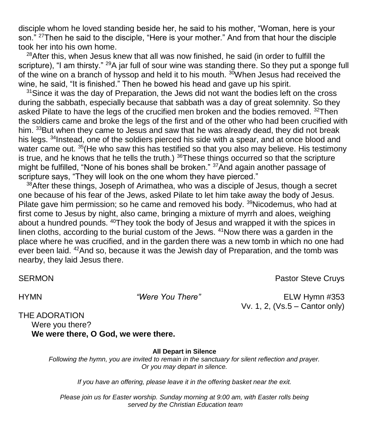disciple whom he loved standing beside her, he said to his mother, "Woman, here is your son." <sup>27</sup>Then he said to the disciple, "Here is your mother." And from that hour the disciple took her into his own home.

 $28$ After this, when Jesus knew that all was now finished, he said (in order to fulfill the scripture), "I am thirsty."  $^{29}A$  jar full of sour wine was standing there. So they put a sponge full of the wine on a branch of hyssop and held it to his mouth. <sup>30</sup>When Jesus had received the wine, he said, "It is finished." Then he bowed his head and gave up his spirit.

<sup>31</sup> Since it was the day of Preparation, the Jews did not want the bodies left on the cross during the sabbath, especially because that sabbath was a day of great solemnity. So they asked Pilate to have the legs of the crucified men broken and the bodies removed.  $32$ Then the soldiers came and broke the legs of the first and of the other who had been crucified with him. 33But when they came to Jesus and saw that he was already dead, they did not break his legs. <sup>34</sup>Instead, one of the soldiers pierced his side with a spear, and at once blood and water came out. <sup>35</sup> (He who saw this has testified so that you also may believe. His testimony is true, and he knows that he tells the truth.)  $36$ These things occurred so that the scripture might be fulfilled, "None of his bones shall be broken." 37And again another passage of scripture says, "They will look on the one whom they have pierced."

<sup>38</sup>After these things, Joseph of Arimathea, who was a disciple of Jesus, though a secret one because of his fear of the Jews, asked Pilate to let him take away the body of Jesus. Pilate gave him permission; so he came and removed his body.  $39$ Nicodemus, who had at first come to Jesus by night, also came, bringing a mixture of myrrh and aloes, weighing about a hundred pounds. <sup>40</sup>They took the body of Jesus and wrapped it with the spices in linen cloths, according to the burial custom of the Jews.  $41$ Now there was a garden in the place where he was crucified, and in the garden there was a new tomb in which no one had ever been laid. <sup>42</sup>And so, because it was the Jewish day of Preparation, and the tomb was nearby, they laid Jesus there.

SERMON **Pastor Steve Cruys Pastor Steve Cruys Pastor Steve Cruys** 

HYMN *"Were You There"* ELW Hymn #353 Vv. 1, 2, (Vs.5 – Cantor only)

THE ADORATION Were you there? **We were there, O God, we were there.**

**All Depart in Silence**

*Following the hymn, you are invited to remain in the sanctuary for silent reflection and prayer. Or you may depart in silence.* 

*If you have an offering, please leave it in the offering basket near the exit.* 

*Please join us for Easter worship. Sunday morning at 9:00 am, with Easter rolls being served by the Christian Education team*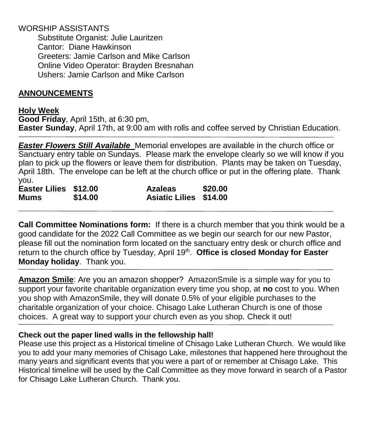#### WORSHIP ASSISTANTS

Substitute Organist: Julie Lauritzen Cantor: Diane Hawkinson Greeters: Jamie Carlson and Mike Carlson Online Video Operator: Brayden Bresnahan Ushers: Jamie Carlson and Mike Carlson

#### **ANNOUNCEMENTS**

#### **Holy Week**

**Good Friday**, April 15th, at 6:30 pm, **Easter Sunday**, April 17th, at 9:00 am with rolls and coffee served by Christian Education.

*Easter Flowers Still Available* Memorial envelopes are available in the church office or Sanctuary entry table on Sundays. Please mark the envelope clearly so we will know if you plan to pick up the flowers or leave them for distribution. Plants may be taken on Tuesday, April 18th. The envelope can be left at the church office or put in the offering plate. Thank you.

| Easter Lilies \$12.00 |         | <b>Azaleas</b>                | \$20.00 |
|-----------------------|---------|-------------------------------|---------|
| <b>Mums</b>           | \$14.00 | <b>Asiatic Lilies \$14.00</b> |         |

**Call Committee Nominations form:** If there is a church member that you think would be a good candidate for the 2022 Call Committee as we begin our search for our new Pastor, please fill out the nomination form located on the sanctuary entry desk or church office and return to the church office by Tuesday, April 19<sup>th</sup>. Office is closed Monday for Easter **Monday holiday**. Thank you.

**Amazon Smile**: Are you an amazon shopper? AmazonSmile is a simple way for you to support your favorite charitable organization every time you shop, at **no** cost to you. When you shop with AmazonSmile, they will donate 0.5% of your eligible purchases to the charitable organization of your choice. Chisago Lake Lutheran Church is one of those choices. A great way to support your church even as you shop. Check it out!

#### **Check out the paper lined walls in the fellowship hall!**

Please use this project as a Historical timeline of Chisago Lake Lutheran Church. We would like you to add your many memories of Chisago Lake, milestones that happened here throughout the many years and significant events that you were a part of or remember at Chisago Lake. This Historical timeline will be used by the Call Committee as they move forward in search of a Pastor for Chisago Lake Lutheran Church. Thank you.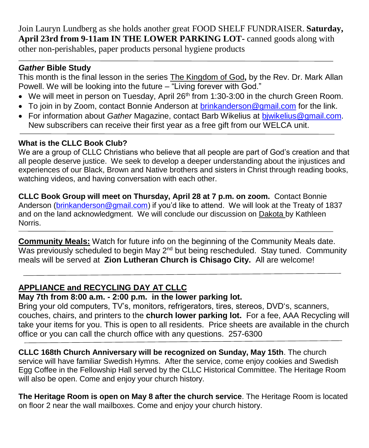Join Lauryn Lundberg as she holds another great FOOD SHELF FUNDRAISER. **Saturday, April 23rd from 9-11am IN THE LOWER PARKING LOT-** canned goods along with other non-perishables, paper products personal hygiene products

## *Gather* **Bible Study**

This month is the final lesson in the series The Kingdom of God**,** by the Rev. Dr. Mark Allan Powell. We will be looking into the future – "Living forever with God."

- $\bullet$  We will meet in person on Tuesday, April 26<sup>th</sup> from 1:30-3:00 in the church Green Room.
- To join in by Zoom, contact Bonnie Anderson at [brinkanderson@gmail.com](mailto:brinkanderson@gmail.com) for the link.
- For information about *Gather* Magazine, contact Barb Wikelius at [bjwikelius@gmail.com.](mailto:bjwikelius@gmail.com) New subscribers can receive their first year as a free gift from our WELCA unit.

## **What is the CLLC Book Club?**

We are a group of CLLC Christians who believe that all people are part of God's creation and that all people deserve justice. We seek to develop a deeper understanding about the injustices and experiences of our Black, Brown and Native brothers and sisters in Christ through reading books, watching videos, and having conversation with each other.

**CLLC Book Group will meet on Thursday, April 28 at 7 p.m. on zoom.** Contact Bonnie Anderson [\(brinkanderson@gmail.com\)](mailto:brinkanderson@gmail.com) if you'd like to attend. We will look at the Treaty of 1837 and on the land acknowledgment. We will conclude our discussion on Dakota by Kathleen Norris.

**Community Meals:** Watch for future info on the beginning of the Community Meals date. Was previously scheduled to begin May  $2<sup>nd</sup>$  but being rescheduled. Stay tuned. Community meals will be served at **Zion Lutheran Church is Chisago City.** All are welcome!

## **APPLIANCE and RECYCLING DAY AT CLLC**

## **May 7th from 8:00 a.m. - 2:00 p.m. in the lower parking lot.**

Bring your old computers, TV's, monitors, refrigerators, tires, stereos, DVD's, scanners, couches, chairs, and printers to the **church lower parking lot.** For a fee, AAA Recycling will take your items for you. This is open to all residents. Price sheets are available in the church office or you can call the church office with any questions. 257-6300

**CLLC 168th Church Anniversary will be recognized on Sunday, May 15th**. The church service will have familiar Swedish Hymns. After the service, come enjoy cookies and Swedish Egg Coffee in the Fellowship Hall served by the CLLC Historical Committee. The Heritage Room will also be open. Come and enjoy your church history.

**The Heritage Room is open on May 8 after the church service**. The Heritage Room is located on floor 2 near the wall mailboxes. Come and enjoy your church history.